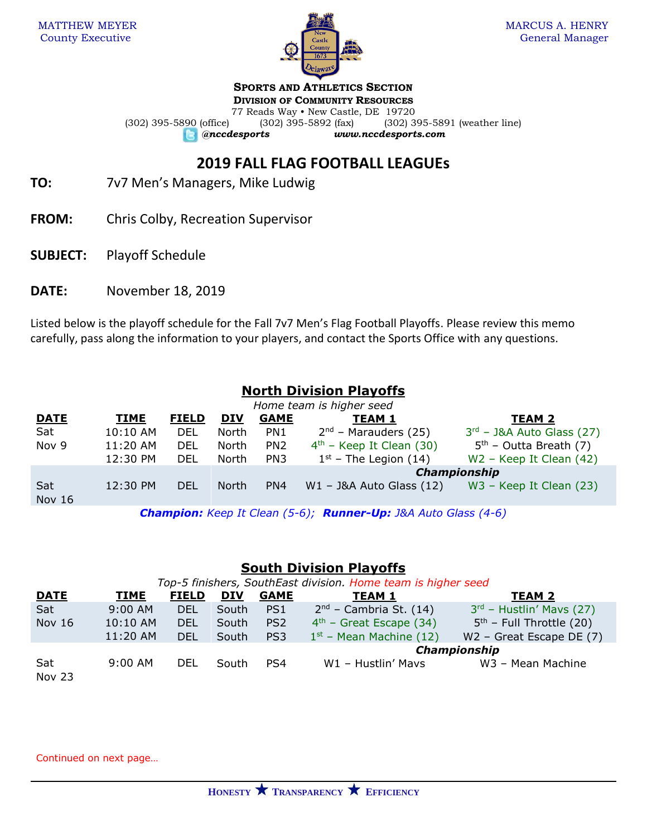

**SPORTS AND ATHLETICS SECTION**

**DIVISION OF COMMUNITY RESOURCES**

77 Reads Way • New Castle, DE 19720 (302) 395-5890 (office) (302) 395-5892 (fax) (302) 395-5891 (weather line) *@nccdesports www.nccdesports.com*

# **2019 FALL FLAG FOOTBALL LEAGUEs**

- **TO:** 7v7 Men's Managers, Mike Ludwig
- **FROM:** Chris Colby, Recreation Supervisor
- **SUBJECT:** Playoff Schedule
- **DATE:** November 18, 2019

Listed below is the playoff schedule for the Fall 7v7 Men's Flag Football Playoffs. Please review this memo carefully, pass along the information to your players, and contact the Sports Office with any questions.

## **North Division Playoffs**

| Home team is higher seed |             |              |            |                 |                              |                             |  |
|--------------------------|-------------|--------------|------------|-----------------|------------------------------|-----------------------------|--|
| <b>DATE</b>              | <b>TIME</b> | <b>FIELD</b> | <b>DIV</b> | <b>GAME</b>     | <b>TEAM 1</b>                | <b>TEAM 2</b>               |  |
| Sat                      | 10:10 AM    | <b>DEL</b>   | North      | PN <sub>1</sub> | $2nd$ – Marauders (25)       | $3rd$ – J&A Auto Glass (27) |  |
| Nov 9                    | 11:20 AM    | <b>DEL</b>   | North      | PN <sub>2</sub> | $4th$ – Keep It Clean (30)   | $5th$ – Outta Breath (7)    |  |
|                          | 12:30 PM    | DEL          | North      | PN <sub>3</sub> | $1st$ – The Legion (14)      | $W2$ – Keep It Clean (42)   |  |
|                          |             |              |            |                 | <b>Championship</b>          |                             |  |
| Sat<br><b>Nov 16</b>     | 12:30 PM    | <b>DEL</b>   | North      | PN4             | $W1 - J&A$ Auto Glass $(12)$ | $W3$ – Keep It Clean (23)   |  |

*Champion: Keep It Clean (5-6); Runner-Up: J&A Auto Glass (4-6)*

#### **South Division Playoffs**

| Top-5 finishers, SouthEast division. Home team is higher seed |           |              |            |                 |                           |                            |  |
|---------------------------------------------------------------|-----------|--------------|------------|-----------------|---------------------------|----------------------------|--|
| <b>DATE</b>                                                   | TIME      | <b>FIELD</b> | <b>DIV</b> | <b>GAME</b>     | <b>TEAM 1</b>             | <b>TEAM 2</b>              |  |
| Sat                                                           | $9:00$ AM | <b>DEL</b>   | South      | PS <sub>1</sub> | $2nd$ – Cambria St. (14)  | $3rd$ – Hustlin' Mavs (27) |  |
| <b>Nov 16</b>                                                 | 10:10 AM  | <b>DEL</b>   | South      | PS <sub>2</sub> | $4th$ – Great Escape (34) | $5th$ – Full Throttle (20) |  |
|                                                               | 11:20 AM  | <b>DEL</b>   | South      | PS <sub>3</sub> | $1st$ – Mean Machine (12) | $W2$ – Great Escape DE (7) |  |
|                                                               |           |              |            |                 | Championship              |                            |  |
| Sat<br>Nov 23                                                 | $9:00$ AM | <b>DEL</b>   | South      | PS4             | W1 - Hustlin' Mavs        | W3 - Mean Machine          |  |

Continued on next page…